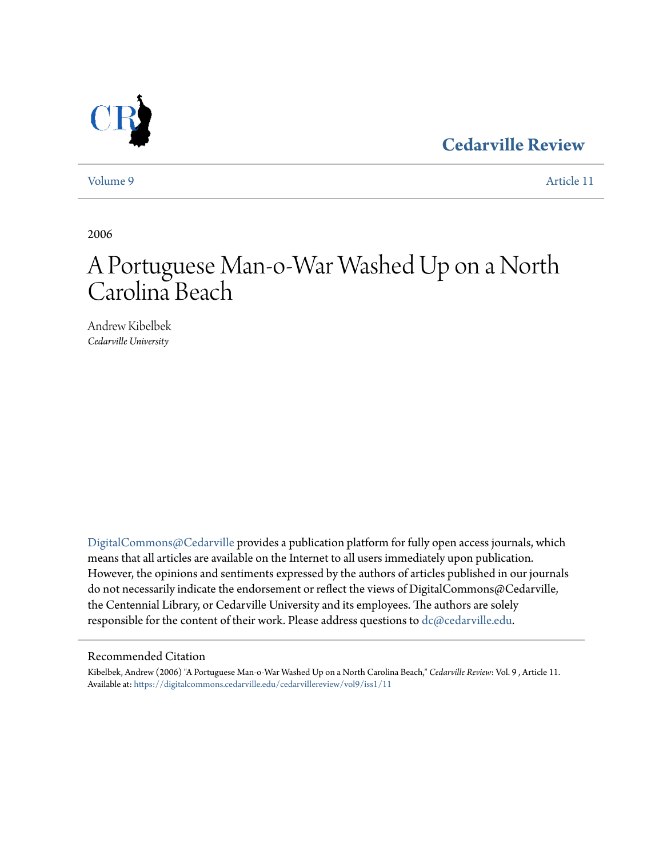### **[Cedarville Review](https://digitalcommons.cedarville.edu/cedarvillereview?utm_source=digitalcommons.cedarville.edu%2Fcedarvillereview%2Fvol9%2Fiss1%2F11&utm_medium=PDF&utm_campaign=PDFCoverPages)**



[Volume 9](https://digitalcommons.cedarville.edu/cedarvillereview/vol9?utm_source=digitalcommons.cedarville.edu%2Fcedarvillereview%2Fvol9%2Fiss1%2F11&utm_medium=PDF&utm_campaign=PDFCoverPages) [Article 11](https://digitalcommons.cedarville.edu/cedarvillereview/vol9/iss1/11?utm_source=digitalcommons.cedarville.edu%2Fcedarvillereview%2Fvol9%2Fiss1%2F11&utm_medium=PDF&utm_campaign=PDFCoverPages)

2006

# A Portuguese Man-o-War Washed Up on a North Carolina Beach

Andrew Kibelbek *Cedarville University*

[DigitalCommons@Cedarville](http://digitalcommons.cedarville.edu) provides a publication platform for fully open access journals, which means that all articles are available on the Internet to all users immediately upon publication. However, the opinions and sentiments expressed by the authors of articles published in our journals do not necessarily indicate the endorsement or reflect the views of DigitalCommons@Cedarville, the Centennial Library, or Cedarville University and its employees. The authors are solely responsible for the content of their work. Please address questions to  $dc@cedarville.edu$ .

#### Recommended Citation

Kibelbek, Andrew (2006) "A Portuguese Man-o-War Washed Up on a North Carolina Beach," *Cedarville Review*: Vol. 9 , Article 11. Available at: [https://digitalcommons.cedarville.edu/cedarvillereview/vol9/iss1/11](https://digitalcommons.cedarville.edu/cedarvillereview/vol9/iss1/11?utm_source=digitalcommons.cedarville.edu%2Fcedarvillereview%2Fvol9%2Fiss1%2F11&utm_medium=PDF&utm_campaign=PDFCoverPages)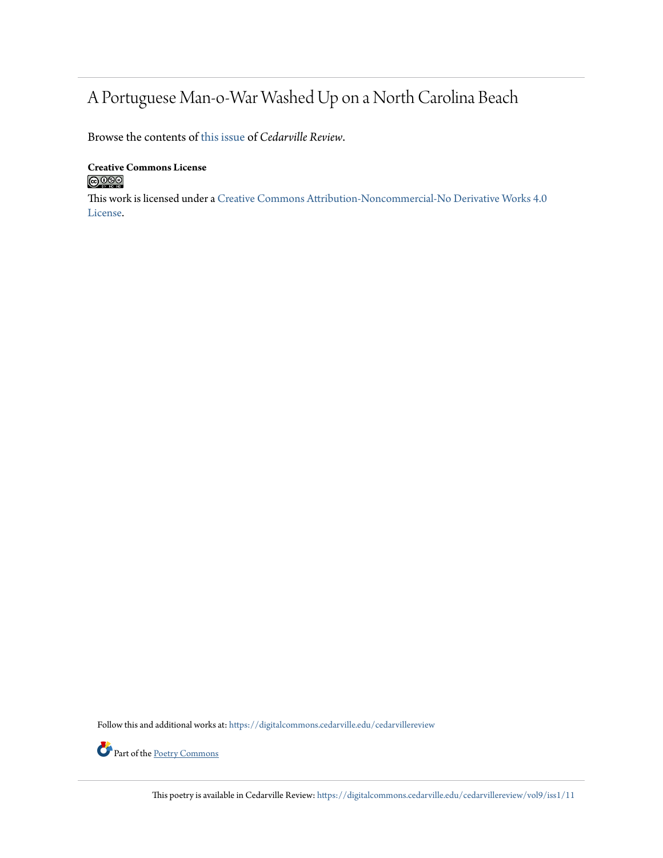## A Portuguese Man-o-War Washed Up on a North Carolina Beach

Browse the contents of [this issue](https://digitalcommons.cedarville.edu/cedarvillereview/vol9/iss1) of *Cedarville Review*.

#### **Creative Commons License**  $\bigcirc$  000

This work is licensed under a [Creative Commons Attribution-Noncommercial-No Derivative Works 4.0](http://creativecommons.org/licenses/by-nc-nd/4.0/) [License.](http://creativecommons.org/licenses/by-nc-nd/4.0/)

Follow this and additional works at: [https://digitalcommons.cedarville.edu/cedarvillereview](https://digitalcommons.cedarville.edu/cedarvillereview?utm_source=digitalcommons.cedarville.edu%2Fcedarvillereview%2Fvol9%2Fiss1%2F11&utm_medium=PDF&utm_campaign=PDFCoverPages)



This poetry is available in Cedarville Review: [https://digitalcommons.cedarville.edu/cedarvillereview/vol9/iss1/11](https://digitalcommons.cedarville.edu/cedarvillereview/vol9/iss1/11?utm_source=digitalcommons.cedarville.edu%2Fcedarvillereview%2Fvol9%2Fiss1%2F11&utm_medium=PDF&utm_campaign=PDFCoverPages)